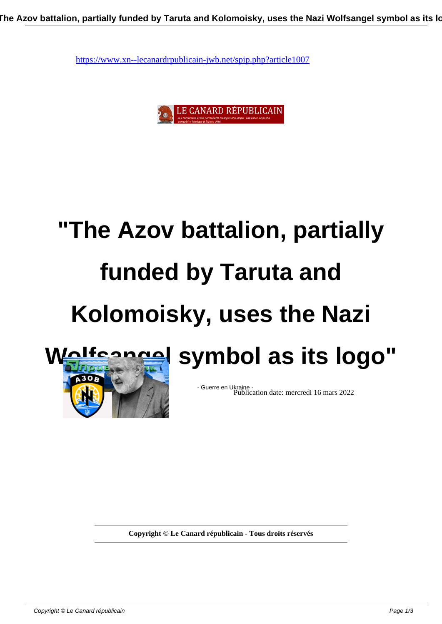

## **"The Azov battalion, partially funded by Taruta and Kolomoisky, uses the Nazi Wolfsangel symbol as its logo"**



**Copyright © Le Canard républicain - Tous droits réservés**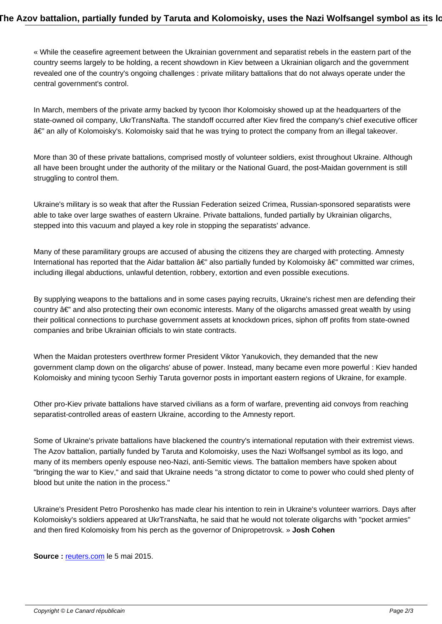« While the ceasefire agreement between the Ukrainian government and separatist rebels in the eastern part of the country seems largely to be holding, a recent showdown in Kiev between a Ukrainian oligarch and the government revealed one of the country's ongoing challenges : private military battalions that do not always operate under the central government's control.

In March, members of the private army backed by tycoon Ihor Kolomoisky showed up at the headquarters of the state-owned oil company, UkrTransNafta. The standoff occurred after Kiev fired the company's chief executive officer â€" an ally of Kolomoisky's. Kolomoisky said that he was trying to protect the company from an illegal takeover.

More than 30 of these private battalions, comprised mostly of volunteer soldiers, exist throughout Ukraine. Although all have been brought under the authority of the military or the National Guard, the post-Maidan government is still struggling to control them.

Ukraine's military is so weak that after the Russian Federation seized Crimea, Russian-sponsored separatists were able to take over large swathes of eastern Ukraine. Private battalions, funded partially by Ukrainian oligarchs, stepped into this vacuum and played a key role in stopping the separatists' advance.

Many of these paramilitary groups are accused of abusing the citizens they are charged with protecting. Amnesty International has reported that the Aidar battalion  $\hat{a}\in \mathbb{Z}$  also partially funded by Kolomoisky  $\hat{a}\in \mathbb{Z}$  committed war crimes, including illegal abductions, unlawful detention, robbery, extortion and even possible executions.

By supplying weapons to the battalions and in some cases paying recruits, Ukraine's richest men are defending their country  $\hat{\mathbf{a}} \in \mathbb{C}^n$  and also protecting their own economic interests. Many of the oligarchs amassed great wealth by using their political connections to purchase government assets at knockdown prices, siphon off profits from state-owned companies and bribe Ukrainian officials to win state contracts.

When the Maidan protesters overthrew former President Viktor Yanukovich, they demanded that the new government clamp down on the oligarchs' abuse of power. Instead, many became even more powerful : Kiev handed Kolomoisky and mining tycoon Serhiy Taruta governor posts in important eastern regions of Ukraine, for example.

Other pro-Kiev private battalions have starved civilians as a form of warfare, preventing aid convoys from reaching separatist-controlled areas of eastern Ukraine, according to the Amnesty report.

Some of Ukraine's private battalions have blackened the country's international reputation with their extremist views. The Azov battalion, partially funded by Taruta and Kolomoisky, uses the Nazi Wolfsangel symbol as its logo, and many of its members openly espouse neo-Nazi, anti-Semitic views. The battalion members have spoken about "bringing the war to Kiev," and said that Ukraine needs "a strong dictator to come to power who could shed plenty of blood but unite the nation in the process."

Ukraine's President Petro Poroshenko has made clear his intention to rein in Ukraine's volunteer warriors. Days after Kolomoisky's soldiers appeared at UkrTransNafta, he said that he would not tolerate oligarchs with "pocket armies" and then fired Kolomoisky from his perch as the governor of Dnipropetrovsk. » **Josh Cohen**

**Source :** reuters.com le 5 mai 2015.